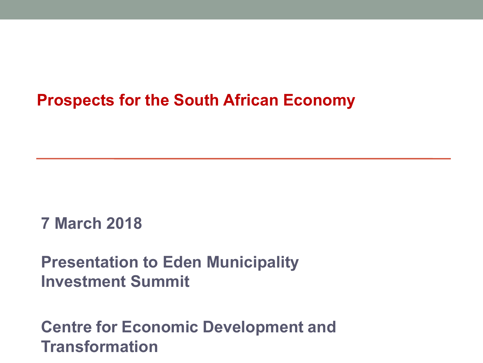# **Prospects for the South African Economy**

### **7 March 2018**

# **Presentation to Eden Municipality Investment Summit**

# **Centre for Economic Development and Transformation**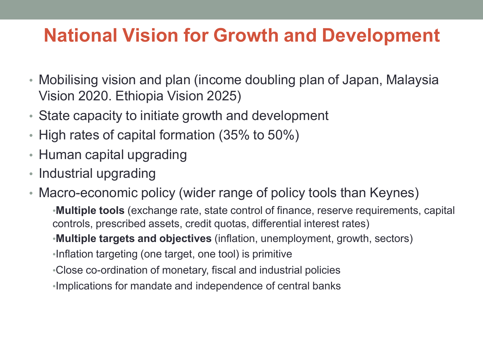# **National Vision for Growth and Development**

- Mobilising vision and plan (income doubling plan of Japan, Malaysia Vision 2020. Ethiopia Vision 2025)
- State capacity to initiate growth and development
- High rates of capital formation (35% to 50%)
- Human capital upgrading
- Industrial upgrading
- Macro-economic policy (wider range of policy tools than Keynes)

•**Multiple tools** (exchange rate, state control of finance, reserve requirements, capital controls, prescribed assets, credit quotas, differential interest rates)

•**Multiple targets and objectives** (inflation, unemployment, growth, sectors)

•Inflation targeting (one target, one tool) is primitive

•Close co-ordination of monetary, fiscal and industrial policies

•Implications for mandate and independence of central banks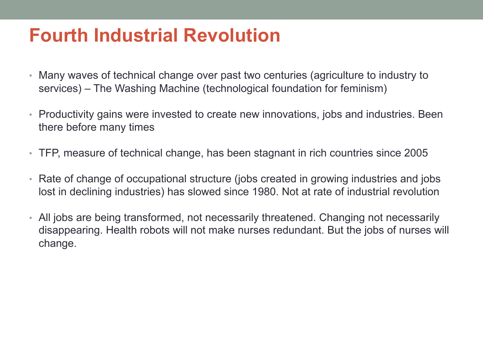# **Fourth Industrial Revolution**

- Many waves of technical change over past two centuries (agriculture to industry to services) – The Washing Machine (technological foundation for feminism)
- Productivity gains were invested to create new innovations, jobs and industries. Been there before many times
- TFP, measure of technical change, has been stagnant in rich countries since 2005
- Rate of change of occupational structure (jobs created in growing industries and jobs lost in declining industries) has slowed since 1980. Not at rate of industrial revolution
- All jobs are being transformed, not necessarily threatened. Changing not necessarily disappearing. Health robots will not make nurses redundant. But the jobs of nurses will change.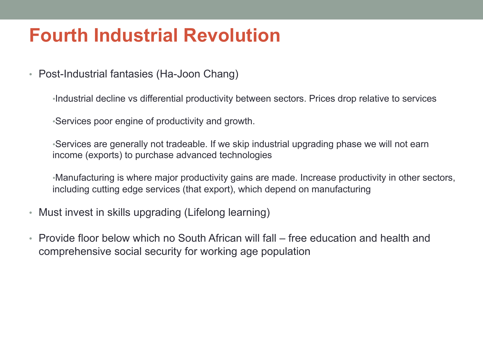# **Fourth Industrial Revolution**

• Post-Industrial fantasies (Ha-Joon Chang)

•Industrial decline vs differential productivity between sectors. Prices drop relative to services

•Services poor engine of productivity and growth.

•Services are generally not tradeable. If we skip industrial upgrading phase we will not earn income (exports) to purchase advanced technologies

•Manufacturing is where major productivity gains are made. Increase productivity in other sectors, including cutting edge services (that export), which depend on manufacturing

- Must invest in skills upgrading (Lifelong learning)
- Provide floor below which no South African will fall free education and health and comprehensive social security for working age population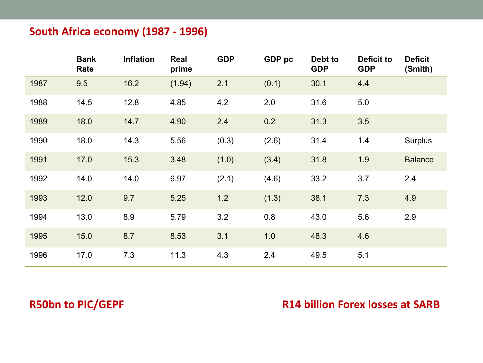### **South Africa economy (1987 - 1996)**

|      | <b>Bank</b><br>Rate | <b>Inflation</b> | Real<br>prime | <b>GDP</b> | GDP pc | Debt to<br><b>GDP</b> | <b>Deficit to</b><br><b>GDP</b> | <b>Deficit</b><br>(Smith) |
|------|---------------------|------------------|---------------|------------|--------|-----------------------|---------------------------------|---------------------------|
| 1987 | 9.5                 | 16.2             | (1.94)        | 2.1        | (0.1)  | 30.1                  | 4.4                             |                           |
| 1988 | 14.5                | 12.8             | 4.85          | 4.2        | 2.0    | 31.6                  | 5.0                             |                           |
| 1989 | 18.0                | 14.7             | 4.90          | 2.4        | 0.2    | 31.3                  | 3.5                             |                           |
| 1990 | 18.0                | 14.3             | 5.56          | (0.3)      | (2.6)  | 31.4                  | 1.4                             | Surplus                   |
| 1991 | 17.0                | 15.3             | 3.48          | (1.0)      | (3.4)  | 31.8                  | 1.9                             | <b>Balance</b>            |
| 1992 | 14.0                | 14.0             | 6.97          | (2.1)      | (4.6)  | 33.2                  | 3.7                             | 2.4                       |
| 1993 | 12.0                | 9.7              | 5.25          | 1.2        | (1.3)  | 38.1                  | 7.3                             | 4.9                       |
| 1994 | 13.0                | 8.9              | 5.79          | 3.2        | 0.8    | 43.0                  | 5.6                             | 2.9                       |
| 1995 | 15.0                | 8.7              | 8.53          | 3.1        | 1.0    | 48.3                  | 4.6                             |                           |
| 1996 | 17.0                | 7.3              | 11.3          | 4.3        | 2.4    | 49.5                  | 5.1                             |                           |

### **R50bn** to PIC/GEPF *COUP* **<b>COUP** *R14 billion Forex losses at SARB*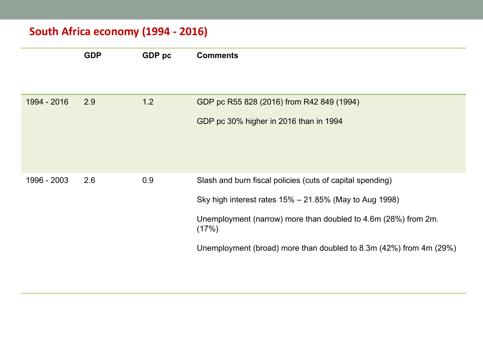### **South Africa economy (1994 - 2016)**

|             | <b>GDP</b> | GDP pc | <b>Comments</b>                                                                                                                                                                                                                                                          |
|-------------|------------|--------|--------------------------------------------------------------------------------------------------------------------------------------------------------------------------------------------------------------------------------------------------------------------------|
| 1994 - 2016 | 2.9        | 1.2    | GDP pc R55 828 (2016) from R42 849 (1994)<br>GDP pc 30% higher in 2016 than in 1994                                                                                                                                                                                      |
| 1996 - 2003 | 2.6        | 0.9    | Slash and burn fiscal policies (cuts of capital spending)<br>Sky high interest rates $15\% - 21.85\%$ (May to Aug 1998)<br>Unemployment (narrow) more than doubled to 4.6m (28%) from 2m.<br>(17%)<br>Unemployment (broad) more than doubled to 8.3m (42%) from 4m (29%) |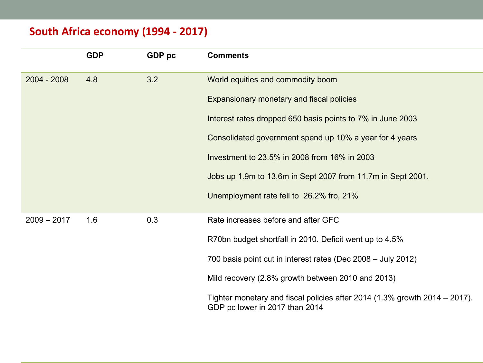### **South Africa economy (1994 - 2017)**

|               | <b>GDP</b> | GDP pc | <b>Comments</b>                                                                                              |  |
|---------------|------------|--------|--------------------------------------------------------------------------------------------------------------|--|
| $2004 - 2008$ | 4.8        | 3.2    | World equities and commodity boom                                                                            |  |
|               |            |        | Expansionary monetary and fiscal policies                                                                    |  |
|               |            |        | Interest rates dropped 650 basis points to 7% in June 2003                                                   |  |
|               |            |        | Consolidated government spend up 10% a year for 4 years                                                      |  |
|               |            |        | Investment to 23.5% in 2008 from 16% in 2003                                                                 |  |
|               |            |        | Jobs up 1.9m to 13.6m in Sept 2007 from 11.7m in Sept 2001.                                                  |  |
|               |            |        | Unemployment rate fell to 26.2% fro, 21%                                                                     |  |
| $2009 - 2017$ | 1.6        | 0.3    | Rate increases before and after GFC                                                                          |  |
|               |            |        | R70bn budget shortfall in 2010. Deficit went up to 4.5%                                                      |  |
|               |            |        | 700 basis point cut in interest rates (Dec 2008 - July 2012)                                                 |  |
|               |            |        | Mild recovery (2.8% growth between 2010 and 2013)                                                            |  |
|               |            |        | Tighter monetary and fiscal policies after 2014 (1.3% growth 2014 – 2017).<br>GDP pc lower in 2017 than 2014 |  |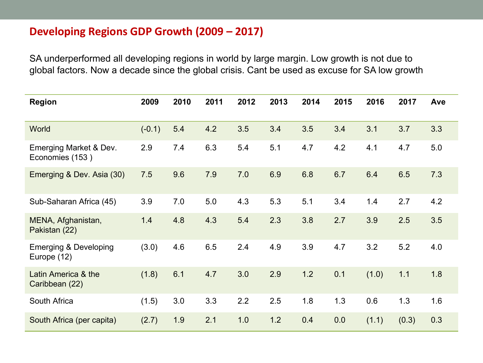#### **Developing Regions GDP Growth (2009 – 2017)**

SA underperformed all developing regions in world by large margin. Low growth is not due to global factors. Now a decade since the global crisis. Cant be used as excuse for SA low growth

| <b>Region</b>                                   | 2009     | 2010 | 2011 | 2012 | 2013 | 2014 | 2015 | 2016  | 2017  | Ave |
|-------------------------------------------------|----------|------|------|------|------|------|------|-------|-------|-----|
| World                                           | $(-0.1)$ | 5.4  | 4.2  | 3.5  | 3.4  | 3.5  | 3.4  | 3.1   | 3.7   | 3.3 |
| Emerging Market & Dev.<br>Economies (153)       | 2.9      | 7.4  | 6.3  | 5.4  | 5.1  | 4.7  | 4.2  | 4.1   | 4.7   | 5.0 |
| Emerging & Dev. Asia (30)                       | 7.5      | 9.6  | 7.9  | 7.0  | 6.9  | 6.8  | 6.7  | 6.4   | 6.5   | 7.3 |
| Sub-Saharan Africa (45)                         | 3.9      | 7.0  | 5.0  | 4.3  | 5.3  | 5.1  | 3.4  | 1.4   | 2.7   | 4.2 |
| MENA, Afghanistan,<br>Pakistan (22)             | 1.4      | 4.8  | 4.3  | 5.4  | 2.3  | 3.8  | 2.7  | 3.9   | 2.5   | 3.5 |
| <b>Emerging &amp; Developing</b><br>Europe (12) | (3.0)    | 4.6  | 6.5  | 2.4  | 4.9  | 3.9  | 4.7  | 3.2   | 5.2   | 4.0 |
| Latin America & the<br>Caribbean (22)           | (1.8)    | 6.1  | 4.7  | 3.0  | 2.9  | 1.2  | 0.1  | (1.0) | 1.1   | 1.8 |
| South Africa                                    | (1.5)    | 3.0  | 3.3  | 2.2  | 2.5  | 1.8  | 1.3  | 0.6   | 1.3   | 1.6 |
| South Africa (per capita)                       | (2.7)    | 1.9  | 2.1  | 1.0  | 1.2  | 0.4  | 0.0  | (1.1) | (0.3) | 0.3 |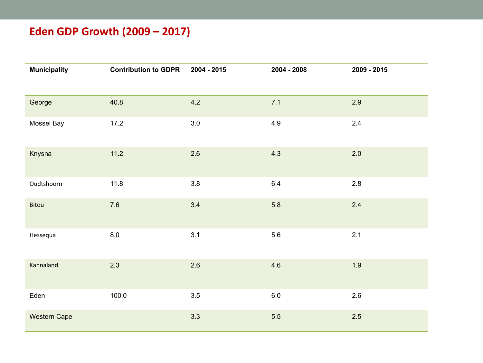### **Eden GDP Growth (2009 – 2017)**

| <b>Municipality</b> | <b>Contribution to GDPR</b> | 2004 - 2015 | 2004 - 2008 | 2009 - 2015 |
|---------------------|-----------------------------|-------------|-------------|-------------|
| George              | 40.8                        | 4.2         | 7.1         | 2.9         |
| Mossel Bay          | 17.2                        | 3.0         | 4.9         | 2.4         |
| Knysna              | 11.2                        | 2.6         | 4.3         | 2.0         |
| Oudtshoorn          | 11.8                        | 3.8         | 6.4         | 2.8         |
| Bitou               | $7.6$                       | 3.4         | 5.8         | 2.4         |
| Hessequa            | $8.0\,$                     | 3.1         | 5.6         | 2.1         |
| Kannaland           | 2.3                         | 2.6         | 4.6         | 1.9         |
| Eden                | 100.0                       | 3.5         | $6.0\,$     | 2.6         |
| <b>Western Cape</b> |                             | 3.3         | 5.5         | 2.5         |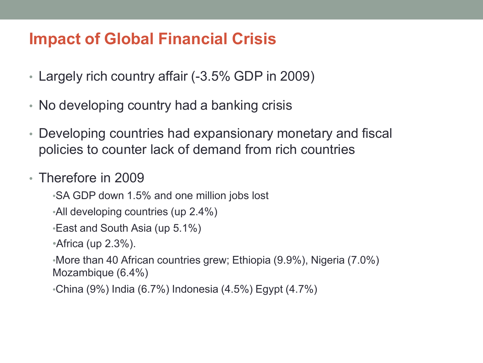# **Impact of Global Financial Crisis**

- Largely rich country affair (-3.5% GDP in 2009)
- No developing country had a banking crisis
- Developing countries had expansionary monetary and fiscal policies to counter lack of demand from rich countries
- Therefore in 2009
	- •SA GDP down 1.5% and one million jobs lost
	- •All developing countries (up 2.4%)
	- •East and South Asia (up 5.1%)
	- •Africa (up 2.3%).
	- •More than 40 African countries grew; Ethiopia (9.9%), Nigeria (7.0%) Mozambique (6.4%)
	- •China (9%) India (6.7%) Indonesia (4.5%) Egypt (4.7%)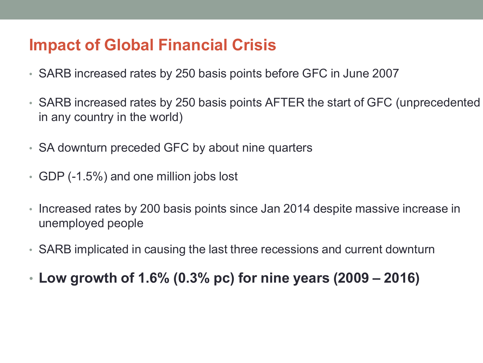# **Impact of Global Financial Crisis**

- SARB increased rates by 250 basis points before GFC in June 2007
- SARB increased rates by 250 basis points AFTER the start of GFC (unprecedented in any country in the world)
- SA downturn preceded GFC by about nine quarters
- GDP (-1.5%) and one million jobs lost
- Increased rates by 200 basis points since Jan 2014 despite massive increase in unemployed people
- SARB implicated in causing the last three recessions and current downturn
- **Low growth of 1.6% (0.3% pc) for nine years (2009 – 2016)**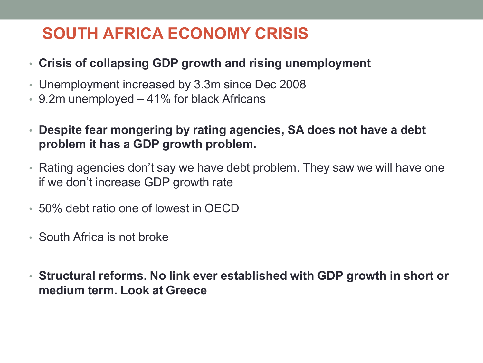# **SOUTH AFRICA ECONOMY CRISIS**

- **Crisis of collapsing GDP growth and rising unemployment**
- Unemployment increased by 3.3m since Dec 2008
- 9.2m unemployed 41% for black Africans
- **Despite fear mongering by rating agencies, SA does not have a debt problem it has a GDP growth problem.**
- Rating agencies don't say we have debt problem. They saw we will have one if we don't increase GDP growth rate
- 50% debt ratio one of lowest in OECD
- South Africa is not broke
- **Structural reforms. No link ever established with GDP growth in short or medium term. Look at Greece**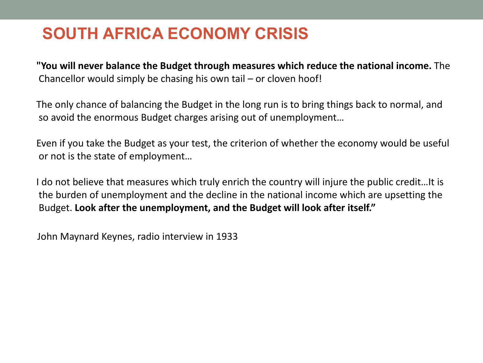# **SOUTH AFRICA ECONOMY CRISIS**

**"You will never balance the Budget through measures which reduce the national income.** The Chancellor would simply be chasing his own tail  $-$  or cloven hoof!

The only chance of balancing the Budget in the long run is to bring things back to normal, and so avoid the enormous Budget charges arising out of unemployment...

Even if you take the Budget as your test, the criterion of whether the economy would be useful or not is the state of employment...

I do not believe that measures which truly enrich the country will injure the public credit...It is the burden of unemployment and the decline in the national income which are upsetting the Budget. Look after the unemployment, and the Budget will look after itself."

John Maynard Keynes, radio interview in 1933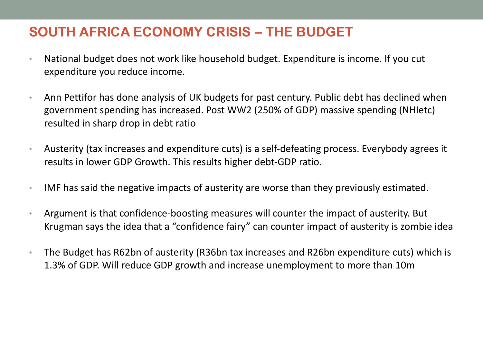### **SOUTH AFRICA ECONOMY CRISIS – THE BUDGET**

- National budget does not work like household budget. Expenditure is income. If you cut expenditure you reduce income.
- Ann Pettifor has done analysis of UK budgets for past century. Public debt has declined when government spending has increased. Post WW2 (250% of GDP) massive spending (NHIetc) resulted in sharp drop in debt ratio
- Austerity (tax increases and expenditure cuts) is a self-defeating process. Everybody agrees it results in lower GDP Growth. This results higher debt-GDP ratio.
- IMF has said the negative impacts of austerity are worse than they previously estimated.
- Argument is that confidence-boosting measures will counter the impact of austerity. But Krugman says the idea that a "confidence fairy" can counter impact of austerity is zombie idea
- The Budget has R62bn of austerity (R36bn tax increases and R26bn expenditure cuts) which is 1.3% of GDP. Will reduce GDP growth and increase unemployment to more than 10m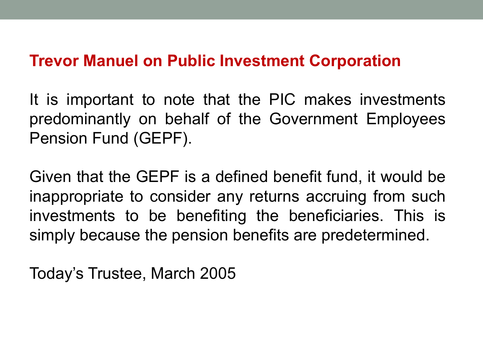### **Trevor Manuel on Public Investment Corporation**

It is important to note that the PIC makes investments predominantly on behalf of the Government Employees Pension Fund (GEPF).

Given that the GEPF is a defined benefit fund, it would be inappropriate to consider any returns accruing from such investments to be benefiting the beneficiaries. This is simply because the pension benefits are predetermined.

Today's Trustee, March 2005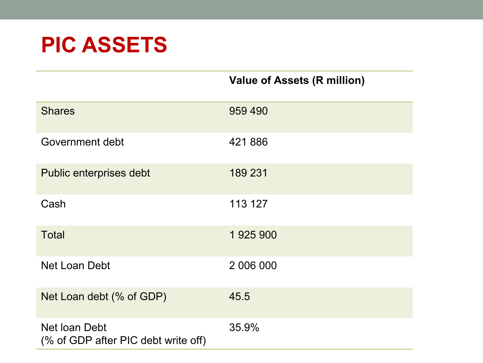# **PIC ASSETS**

| <b>Shares</b>                                        | 959 490   |
|------------------------------------------------------|-----------|
| Government debt                                      | 421886    |
| Public enterprises debt                              | 189 231   |
| Cash                                                 | 113 127   |
| <b>Total</b>                                         | 1 925 900 |
| <b>Net Loan Debt</b>                                 | 2 006 000 |
| Net Loan debt (% of GDP)                             | 45.5      |
| Net Ioan Debt<br>(% of GDP after PIC debt write off) | 35.9%     |